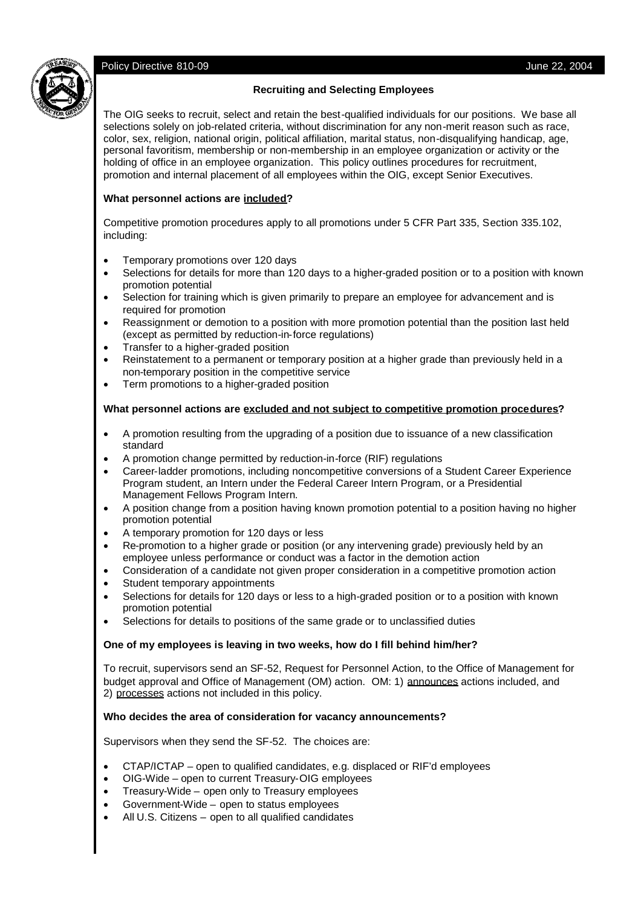# Policy Directive 810-09 **Vulle** 22, 2004



# **Recruiting and Selecting Employees**

The OIG seeks to recruit, select and retain the best-qualified individuals for our positions. We base all selections solely on job-related criteria, without discrimination for any non-merit reason such as race, color, sex, religion, national origin, political affiliation, marital status, non-disqualifying handicap, age, personal favoritism, membership or non-membership in an employee organization or activity or the holding of office in an employee organization. This policy outlines procedures for recruitment, promotion and internal placement of all employees within the OIG, except Senior Executives.

# **What personnel actions are included?**

Competitive promotion procedures apply to all promotions under 5 CFR Part 335, Section 335.102, including:

- Temporary promotions over 120 days
- Selections for details for more than 120 days to a higher-graded position or to a position with known promotion potential
- Selection for training which is given primarily to prepare an employee for advancement and is required for promotion
- Reassignment or demotion to a position with more promotion potential than the position last held (except as permitted by reduction-in-force regulations)
- Transfer to a higher-graded position
- Reinstatement to a permanent or temporary position at a higher grade than previously held in a non-temporary position in the competitive service
- Term promotions to a higher-graded position

# **What personnel actions are excluded and not subject to competitive promotion procedures?**

- A promotion resulting from the upgrading of a position due to issuance of a new classification standard
- A promotion change permitted by reduction-in-force (RIF) regulations
- Career-ladder promotions, including noncompetitive conversions of a Student Career Experience Program student, an Intern under the Federal Career Intern Program, or a Presidential Management Fellows Program Intern.
- A position change from a position having known promotion potential to a position having no higher promotion potential
- A temporary promotion for 120 days or less
- Re-promotion to a higher grade or position (or any intervening grade) previously held by an employee unless performance or conduct was a factor in the demotion action
- Consideration of a candidate not given proper consideration in a competitive promotion action
- Student temporary appointments
- Selections for details for 120 days or less to a high-graded position or to a position with known promotion potential
- Selections for details to positions of the same grade or to unclassified duties

# **One of my employees is leaving in two weeks, how do I fill behind him/her?**

To recruit, supervisors send an SF-52, Request for Personnel Action, to the Office of Management for budget approval and Office of Management (OM) action. OM: 1) announces actions included, and 2) processes actions not included in this policy.

# **Who decides the area of consideration for vacancy announcements?**

Supervisors when they send the SF-52. The choices are:

- CTAP/ICTAP open to qualified candidates, e.g. displaced or RIF'd employees
- OIG-Wide open to current Treasury-OIG employees
- Treasury-Wide open only to Treasury employees
- Government-Wide open to status employees
- All U.S. Citizens open to all qualified candidates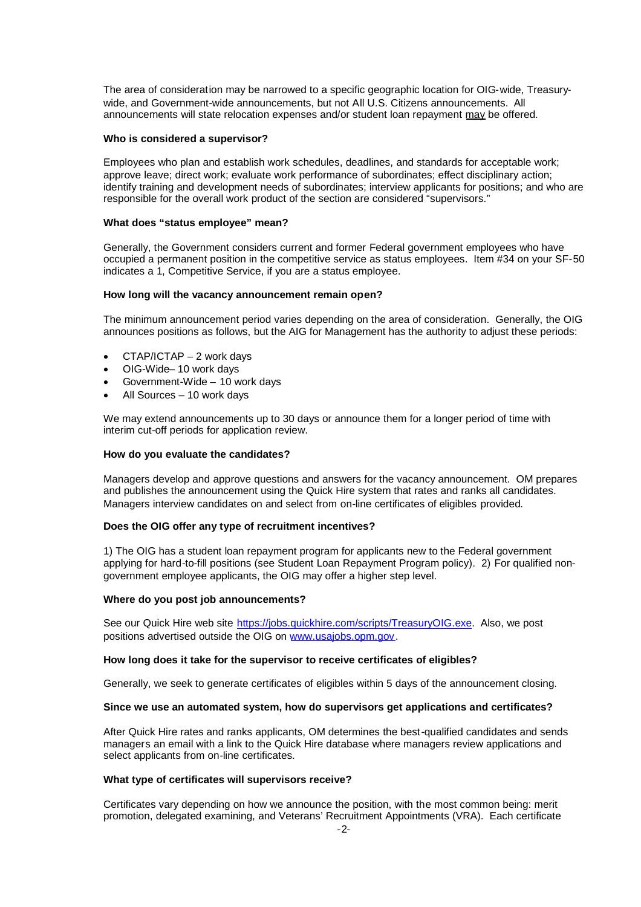The area of consideration may be narrowed to a specific geographic location for OIG-wide, Treasurywide, and Government-wide announcements, but not All U.S. Citizens announcements. All announcements will state relocation expenses and/or student loan repayment may be offered.

#### **Who is considered a supervisor?**

Employees who plan and establish work schedules, deadlines, and standards for acceptable work; approve leave; direct work; evaluate work performance of subordinates; effect disciplinary action; identify training and development needs of subordinates; interview applicants for positions; and who are responsible for the overall work product of the section are considered "supervisors."

## **What does "status employee" mean?**

Generally, the Government considers current and former Federal government employees who have occupied a permanent position in the competitive service as status employees. Item #34 on your SF-50 indicates a 1, Competitive Service, if you are a status employee.

## **How long will the vacancy announcement remain open?**

The minimum announcement period varies depending on the area of consideration. Generally, the OIG announces positions as follows, but the AIG for Management has the authority to adjust these periods:

- CTAP/ICTAP 2 work days
- OIG-Wide– 10 work days
- Government-Wide 10 work days
- All Sources 10 work days

We may extend announcements up to 30 days or announce them for a longer period of time with interim cut-off periods for application review.

## **How do you evaluate the candidates?**

Managers develop and approve questions and answers for the vacancy announcement. OM prepares and publishes the announcement using the Quick Hire system that rates and ranks all candidates. Managers interview candidates on and select from on-line certificates of eligibles provided.

## **Does the OIG offer any type of recruitment incentives?**

1) The OIG has a student loan repayment program for applicants new to the Federal government applying for hard-to-fill positions (see Student Loan Repayment Program policy). 2) For qualified nongovernment employee applicants, the OIG may offer a higher step level.

### **Where do you post job announcements?**

See our Quick Hire web site https://jobs.quickhire.com/scripts/TreasuryOIG.exe. Also, we post positions advertised outside the OIG on www.usajobs.opm.gov.

### **How long does it take for the supervisor to receive certificates of eligibles?**

Generally, we seek to generate certificates of eligibles within 5 days of the announcement closing.

### **Since we use an automated system, how do supervisors get applications and certificates?**

After Quick Hire rates and ranks applicants, OM determines the best-qualified candidates and sends managers an email with a link to the Quick Hire database where managers review applications and select applicants from on-line certificates.

### **What type of certificates will supervisors receive?**

Certificates vary depending on how we announce the position, with the most common being: merit promotion, delegated examining, and Veterans' Recruitment Appointments (VRA). Each certificate